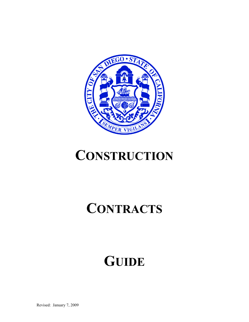

# **CONSTRUCTION**

# **CONTRACTS**

# **GUIDE**

Revised: January 7, 2009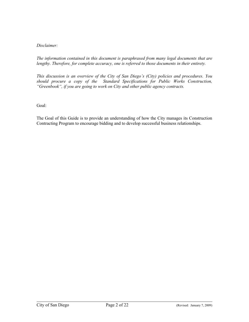# *Disclaimer:*

*The information contained in this document is paraphrased from many legal documents that are lengthy. Therefore, for complete accuracy, one is referred to those documents in their entirety.* 

*This discussion is an overview of the City of San Diego's (City) policies and procedures. You should procure a copy of the Standard Specifications for Public Works Construction, "Greenbook", if you are going to work on City and other public agency contracts.*

Goal:

The Goal of this Guide is to provide an understanding of how the City manages its Construction Contracting Program to encourage bidding and to develop successful business relationships.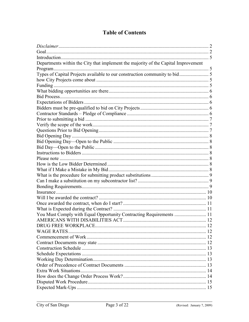# **Table of Contents**

| Departments within the City that implement the majority of the Capital Improvement |  |
|------------------------------------------------------------------------------------|--|
|                                                                                    |  |
|                                                                                    |  |
|                                                                                    |  |
|                                                                                    |  |
|                                                                                    |  |
|                                                                                    |  |
|                                                                                    |  |
|                                                                                    |  |
|                                                                                    |  |
|                                                                                    |  |
|                                                                                    |  |
|                                                                                    |  |
|                                                                                    |  |
|                                                                                    |  |
|                                                                                    |  |
|                                                                                    |  |
|                                                                                    |  |
|                                                                                    |  |
|                                                                                    |  |
|                                                                                    |  |
|                                                                                    |  |
|                                                                                    |  |
|                                                                                    |  |
|                                                                                    |  |
|                                                                                    |  |
|                                                                                    |  |
| You Must Comply with Equal Opportunity Contracting Requirements  11                |  |
|                                                                                    |  |
|                                                                                    |  |
|                                                                                    |  |
|                                                                                    |  |
|                                                                                    |  |
|                                                                                    |  |
|                                                                                    |  |
|                                                                                    |  |
|                                                                                    |  |
|                                                                                    |  |
|                                                                                    |  |
|                                                                                    |  |
|                                                                                    |  |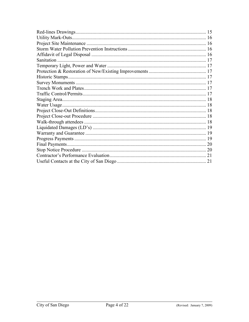| Sanitation |  |  |
|------------|--|--|
|            |  |  |
|            |  |  |
|            |  |  |
|            |  |  |
|            |  |  |
|            |  |  |
|            |  |  |
|            |  |  |
|            |  |  |
|            |  |  |
|            |  |  |
|            |  |  |
|            |  |  |
|            |  |  |
|            |  |  |
|            |  |  |
|            |  |  |
|            |  |  |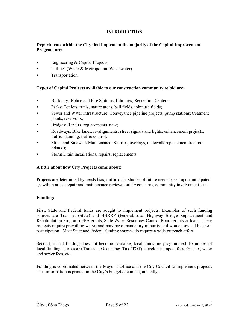# **INTRODUCTION**

# **Departments within the City that implement the majority of the Capital Improvement Program are:**

- Engineering & Capital Projects
- Utilities (Water & Metropolitan Wastewater)
- Transportation

### **Types of Capital Projects available to our construction community to bid are:**

- Buildings: Police and Fire Stations, Libraries, Recreation Centers;
- Parks: Tot lots, trails, nature areas, ball fields, joint use fields;
- Sewer and Water infrastructure: Conveyance pipeline projects, pump stations; treatment plants, reservoirs;
- Bridges: Repairs, replacements, new;
- Roadways: Bike lanes, re-alignments, street signals and lights, enhancement projects, traffic planning, traffic control;
- Street and Sidewalk Maintenance: Slurries, overlays, (sidewalk replacement tree root related);
- Storm Drain installations, repairs, replacements.

#### **A little about how City Projects come about:**

Projects are determined by needs lists, traffic data, studies of future needs based upon anticipated growth in areas, repair and maintenance reviews, safety concerns, community involvement, etc.

#### **Funding:**

First, State and Federal funds are sought to implement projects. Examples of such funding sources are Transnet (State) and HBRRP (Federal/Local Highway Bridge Replacement and Rehabilitation Program) EPA grants, State Water Resources Control Board grants or loans. These projects require prevailing wages and may have mandatory minority and women owned business participation. Most State and Federal funding sources do require a wide outreach effort.

Second, if that funding does not become available, local funds are programmed. Examples of local funding sources are Transient Occupancy Tax (TOT), developer impact fees, Gas tax, water and sewer fees, etc.

Funding is coordinated between the Mayor's Office and the City Council to implement projects. This information is printed in the City's budget document, annually.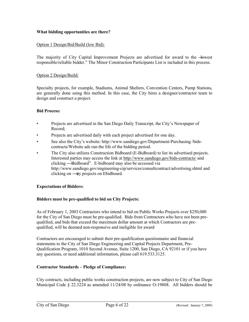# **What bidding opportunities are there?**

### Option 1 Design/Bid/Build (low Bid):

The majority of City Capital Improvement Projects are advertised for award to the —lowest responsible/reliable bidder." The Minor Construction Participants List is included in this process.

#### Option 2 Design/Build:

Specialty projects, for example, Stadiums, Animal Shelters, Convention Centers, Pump Stations, are generally done using this method. In this case, the City hires a designer/contractor team to design and construct a project.

#### **Bid Process:**

- Projects are advertised in the San Diego Daily Transcript, the City's Newspaper of Record;
- Projects are advertised daily with each project advertised for one day.
- See also the City's website: http://www.sandiego.gov/Department-Purchasing /bidscontracts/Website ads run the life of the bidding period.
- The City also utilizes Construction Bidboard (E-Bidboard) to list its advertised projects. Interested parties may access the link at<http://www.sandiego.gov/bids-contracts/>and clicking — Ebidboard". E-bidboard may also be accessed via http://www.sandiego.gov/engineering-cip/services/consultcontract/advertising.shtml and clicking on —ity projects on Ebidboard.

#### **Expectations of Bidders:**

#### **Bidders must be pre-qualified to bid on City Projects:**

As of February 1, 2003 Contractors who intend to bid on Public Works Projects over \$250,000 for the City of San Diego must be pre-qualified. Bids from Contractors who have not been prequalified, and bids that exceed the maximum dollar amount at which Contractors are prequalified, will be deemed non-responsive and ineligible for award

Contractors are encouraged to submit their pre-qualification questionnaire and financial statements to the City of San Diego Engineering and Capital Projects Department, Pre-Qualification Program, 1010 Second Avenue, Suite 1200, San Diego, CA 92101 or if you have any questions, or need additional information, please call 619.533.3125.

#### **Contractor Standards – Pledge of Compliance:**

City contracts, including public works construction projects, are now subject to City of San Diego Municipal Code § 22.3224 as amended 11/24/08 by ordinance O-19808. All bidders should be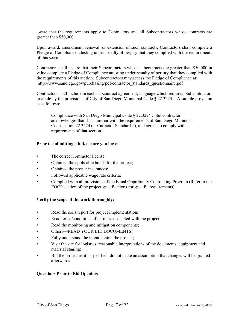aware that the requirements apply to Contractors and all Subcontractors whose contracts are greater than \$50,000.

Upon award, amendment, renewal, or extension of such contracts, Contractors shall complete a Pledge of Compliance attesting under penalty of perjury that they complied with the requirements of this section.

Contractors shall ensure that their Subcontractors whose subcontracts are greater than \$50,000 in value complete a Pledge of Compliance attesting under penalty of perjury that they complied with the requirements of this section. Subcontractors may access the Pledge of Compliance at: http://www.sandiego.gov/purchasing/pdf/contractor\_standards\_questionnaire.pdf

Contractors shall include in each subcontract agreement, language which requires Subcontractors to abide by the provisions of City of San Diego Municipal Code § 22.3224. A sample provision is as follows:

Compliance with San Diego Municipal Code § 22.3224 : Subcontractor acknowledges that it is familiar with the requirements of San Diego Municipal Code section 22.3224 (—Cotractor Standards<sup>3</sup>), and agrees to comply with requirements of that section.

#### **Prior to submitting a bid, ensure you have:**

- The correct contractor license;
- Obtained the applicable bonds for the project;
- Obtained the proper insurances;
- Followed applicable wage rate criteria;
- Complied with all provisions of the Equal Opportunity Contracting Program (Refer to the EOCP section of the project specifications for specific requirements).

# **Verify the scope of the work thoroughly:**

- Read the soils report for project implementation;
- Read terms/conditions of permits associated with the project;
- Read the monitoring and mitigation components;
- Others—READ YOUR BID DOCUMENTS!
- Fully understand the intent behind the project;
- Visit the site for logistics, reasonable interpretations of the documents, equipment and material staging;
- Bid the project as it is specified, do not make an assumption that changes will be granted afterwards.

# **Questions Prior to Bid Opening:**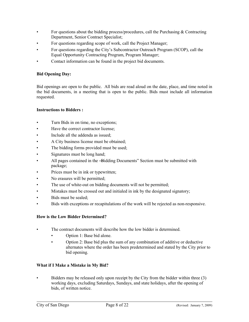- For questions about the bidding process/procedures, call the Purchasing  $&$  Contracting Department, Senior Contract Specialist;
- For questions regarding scope of work, call the Project Manager;
- For questions regarding the City's Subcontractor Outreach Program (SCOP), call the Equal Opportunity Contracting Program, Program Manager;
- Contact information can be found in the project bid documents.

# **Bid Opening Day:**

Bid openings are open to the public. All bids are read aloud on the date, place, and time noted in the bid documents, in a meeting that is open to the public. Bids must include all information requested.

### **Instructions to Bidders :**

- Turn Bids in on time, no exceptions;
- Have the correct contractor license;
- Include all the addenda as issued;
- A City business license must be obtained;
- The bidding forms provided must be used;
- Signatures must be long hand;
- All pages contained in the -Bidding Documents" Section must be submitted with package;
- Prices must be in ink or typewritten;
- No erasures will be permitted;
- The use of white-out on bidding documents will not be permitted;
- Mistakes must be crossed out and initialed in ink by the designated signatory;
- Bids must be sealed;
- Bids with exceptions or recapitulations of the work will be rejected as non-responsive.

#### **How is the Low Bidder Determined?**

- The contract documents will describe how the low bidder is determined.
	- Option 1: Base bid alone.
	- Option 2: Base bid plus the sum of any combination of additive or deductive alternates where the order has been predetermined and stated by the City prior to bid opening.

#### **What if I Make a Mistake in My Bid?**

• Bidders may be released only upon receipt by the City from the bidder within three (3) working days, excluding Saturdays, Sundays, and state holidays, after the opening of bids, of written notice.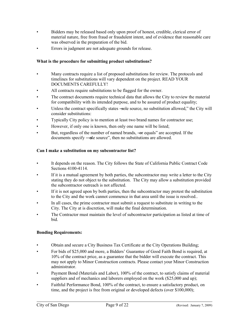- Bidders may be released based only upon proof of honest, credible, clerical error of material nature, free from fraud or fraudulent intent, and of evidence that reasonable care was observed in the preparation of the bid.
- Errors in judgment are not adequate grounds for release.

# **What is the procedure for submitting product substitutions?**

- Many contracts require a list of proposed substitutions for review. The protocols and timelines for substitutions will vary dependent on the project. READ YOUR DOCUMENTS CAREFULLY!
- All contracts require substitutions to be flagged for the owner.
- The contract documents require technical data that allows the City to review the material for compatibility with its intended purpose, and to be assured of product equality;
- Unless the contract specifically states —sole source, no substitution allowed," the City will consider substitutions:
- Typically City policy is to mention at least two brand names for contractor use;
- However, if only one is known, then only one name will be listed;
- But, regardless of the number of named brands,  $-\omega r$  equals" are accepted. If the documents specify —sole source", then no substitutions are allowed.

### **Can I make a substitution on my subcontractor list?**

- It depends on the reason. The City follows the State of California Public Contract Code Sections 4100-4114.
- If it is a mutual agreement by both parties, the subcontractor may write a letter to the City stating they do not object to the substitution. The City may allow a substitution provided the subcontractor outreach is not affected.
- If it is not agreed upon by both parties, then the subcontractor may protest the substitution to the City and the work cannot commence in that area until the issue is resolved..
- In all cases, the prime contractor must submit a request to substitute in writing to the City. The City at is discretion, will make the final determination.
- The Contractor must maintain the level of subcontractor participation as listed at time of bid.

#### **Bonding Requirements:**

- Obtain and secure a City Business Tax Certificate at the City Operations Building;
- For bids of \$25,000 and more, a Bidders' Guarantee of Good Faith Bond is required, at 10% of the contract price, as a guarantee that the bidder will execute the contract. This may not apply to Minor Construction contracts. Please contact your Minor Construction administrator.
- Payment Bond (Materials and Labor), 100% of the contract, to satisfy claims of material suppliers and of mechanics and laborers employed on the work (\$25,000 and up);
- Faithful Performance Bond, 100% of the contract, to ensure a satisfactory product, on time, and the project is free from original or developed defects (over \$100,000);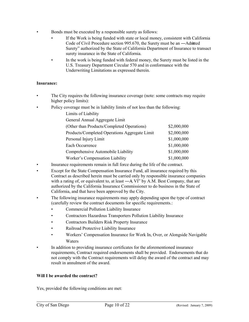- Bonds must be executed by a responsible surety as follows:
	- If the Work is being funded with state or local money, consistent with California Code of Civil Procedure section 995.670, the Surety must be an —Admitted Surety" authorized by the State of California Department of Insurance to transact surety insurance in the State of California.
	- In the work is being funded with federal money, the Surety must be listed in the U.S. Treasury Department Circular 570 and in conformance with the Underwriting Limitations as expressed therein.

# **Insurance:**

- The City requires the following insurance coverage (note: some contracts may require higher policy limits):
- Policy coverage must be in liability limits of not less than the following:

| Limits of Liability                           |             |
|-----------------------------------------------|-------------|
| General Annual Aggregate Limit                |             |
| (Other than Products/Completed Operations)    | \$2,000,000 |
| Products/Completed Operations Aggregate Limit | \$2,000,000 |
| Personal Injury Limit                         | \$1,000,000 |
| Each Occurrence                               | \$1,000,000 |
| Comprehensive Automobile Liability            | \$1,000,000 |
| Worker's Compensation Liability               | \$1,000,000 |

- Insurance requirements remain in full force during the life of the contract.
- Except for the State Compensation Insurance Fund, all insurance required by this Contract as described herein must be carried only by responsible insurance companies with a rating of, or equivalent to, at least  $-A$ , VI" by A.M. Best Company, that are authorized by the California Insurance Commissioner to do business in the State of California, and that have been approved by the City.
- The following insurance requirements may apply depending upon the type of contract (carefully review the contract documents for specific requirements.:
	- Commercial Pollution Liability Insurance
	- Contractors Hazardous Transporters Pollution Liability Insurance
	- Contractors Builders Risk Property Insurance
	- Railroad Protective Liability Insurance
	- Workers' Compensation Insurance for Work In, Over, or Alongside Navigable Waters
- In addition to providing insurance certificates for the aforementioned insurance requirements, Contract required endorsements shall be provided. Endorsements that do not comply with the Contract requirements will delay the award of the contract and may result in annulment of the award.

#### **Will I be awarded the contract?**

Yes, provided the following conditions are met: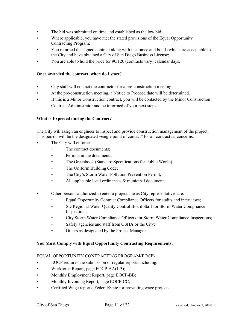- The bid was submitted on time and established as the low bid;
- Where applicable, you have met the stated provisions of the Equal Opportunity Contracting Program;
- You returned the signed contract along with insurance and bonds which are acceptable to the City and have obtained a City of San Diego Business License;
- You are able to hold the price for 90/120 (contracts vary) calendar days.

# **Once awarded the contract, when do I start?**

- City staff will contact the contractor for a pre-construction meeting;
- At the pre-construction meeting, a Notice to Proceed date will be determined.
- If this is a Minor Construction contract, you will be contacted by the Minor Construction Contract Administrator and be informed of your next steps.

### **What is Expected during the Contract?**

The City will assign an engineer to inspect and provide construction management of the project. This person will be the designated —single point of contact" for all contractual concerns.

- The City will enforce:
	- The contract documents:
	- Permits in the documents;
	- The Greenbook (Standard Specifications for Public Works);
	- The Uniform Building Code;
	- The City's Storm Water Pollution Prevention Permit;
	- All applicable local ordinances & municipal documents.
- Other persons authorized to enter a project site as City representatives are:
	- Equal Opportunity Contract Compliance Officers for audits and interviews;
	- SD Regional Water Quality Control Board Staff for Storm Water Compliance Inspections;
	- City Storm Water Compliance Officers for Storm Water Compliance Inspections;
	- Safety agencies and staff from OSHA or the City;
	- Others as designated by the Project Manager.

#### **You Must Comply with Equal Opportunity Contracting Requirements:**

#### EQUAL OPPORTUNITY CONTRACTING PROGRAM(EOCP)

- EOCP requires the submission of regular reports including:
- Workforce Report, page EOCP-AA(1-3);
- Monthly Employment Report, page EOCP-BB;
- Monthly Invoicing Report, page EOCP-CC;
- Certified Wage reports, Federal/State for prevailing wage projects.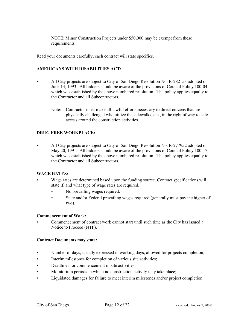NOTE: Minor Construction Projects under \$50,000 may be exempt from these requirements.

Read your documents carefully; each contract will state specifics.

### **AMERICANS WITH DISABILITIES ACT:**

- All City projects are subject to City of San Diego Resolution No. R-282153 adopted on June 14, 1993. All bidders should be aware of the provisions of Council Policy 100-04 which was established by the above numbered resolution. The policy applies equally to the Contractor and all Subcontractors.
	- Note: Contractor must make all lawful efforts necessary to direct citizens that are physically challenged who utilize the sidewalks, etc., in the right of way to safe access around the construction activities.

### **DRUG FREE WORKPLACE:**

• All City projects are subject to City of San Diego Resolution No. R-277952 adopted on May 20, 1991. All bidders should be aware of the provisions of Council Policy 100-17 which was established by the above numbered resolution. The policy applies equally to the Contractor and all Subcontractors.

#### **WAGE RATES:**

- Wage rates are determined based upon the funding source. Contract specifications will state if, and what type of wage rates are required.
	- No prevailing wages required.
	- State and/or Federal prevailing wages required (generally must pay the higher of two).

#### **Commencement of Work:**

• Commencement of contract work cannot start until such time as the City has issued a Notice to Proceed (NTP).

#### **Contract Documents may state:**

- Number of days, usually expressed in working days, allowed for projects completion;
- Interim milestones for completion of various site activities;
- Deadlines for commencement of site activities:
- Moratorium periods in which no construction activity may take place;
- Liquidated damages for failure to meet interim milestones and/or project completion.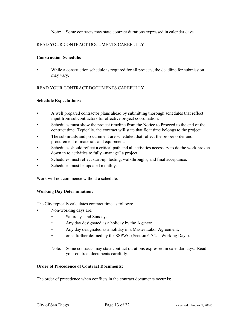Note: Some contracts may state contract durations expressed in calendar days.

# READ YOUR CONTRACT DOCUMENTS CAREFULLY!

### **Construction Schedule:**

While a construction schedule is required for all projects, the deadline for submission may vary.

### READ YOUR CONTRACT DOCUMENTS CAREFULLY!

#### **Schedule Expectations:**

- A well prepared contractor plans ahead by submitting thorough schedules that reflect input from subcontractors for effective project coordination.
- Schedules must show the project timeline from the Notice to Proceed to the end of the contract time. Typically, the contract will state that float time belongs to the project.
- The submittals and procurement are scheduled that reflect the proper order and procurement of materials and equipment.
- Schedules should reflect a critical path and all activities necessary to do the work broken down in to activities to fully —manage" a project.
- Schedules must reflect start-up, testing, walkthroughs, and final acceptance.
- Schedules must be updated monthly.

Work will not commence without a schedule.

#### **Working Day Determination:**

The City typically calculates contract time as follows:

- Non-working days are:
	- Saturdays and Sundays;
	- Any day designated as a holiday by the Agency;
	- Any day designated as a holiday in a Master Labor Agreement;
	- or as further defined by the SSPWC (Section 6-7.2 Working Days).
	- Note: Some contracts may state contract durations expressed in calendar days. Read your contract documents carefully.

#### **Order of Precedence of Contract Documents:**

The order of precedence when conflicts in the contract documents occur is: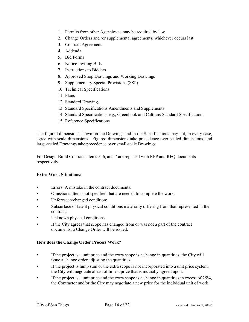- 1. Permits from other Agencies as may be required by law
- 2. Change Orders and /or supplemental agreements; whichever occurs last
- 3. Contract Agreement
- 4. Addenda
- 5. Bid Forms
- 6. Notice Inviting Bids
- 7. Instructions to Bidders
- 8. Approved Shop Drawings and Working Drawings
- 9. Supplementary Special Provisions (SSP)
- 10. Technical Specifications
- 11. Plans
- 12. Standard Drawings
- 13. Standard Specifications Amendments and Supplements
- 14. Standard Specifications e.g., Greenbook and Caltrans Standard Specifications
- 15. Reference Specifications

The figured dimensions shown on the Drawings and in the Specifications may not, in every case, agree with scale dimensions. Figured dimensions take precedence over scaled dimensions, and large-scaled Drawings take precedence over small-scale Drawings.

For Design-Build Contracts items 5, 6, and 7 are replaced with RFP and RFQ documents respectively.

#### **Extra Work Situations:**

- Errors: A mistake in the contract documents.
- Omissions: Items not specified that are needed to complete the work.
- Unforeseen/changed condition:
- Subsurface or latent physical conditions materially differing from that represented in the contract;
- Unknown physical conditions.
- If the City agrees that scope has changed from or was not a part of the contract documents, a Change Order will be issued.

#### **How does the Change Order Process Work?**

- If the project is a unit price and the extra scope is a change in quantities, the City will issue a change order adjusting the quantities.
- If the project is lump sum or the extra scope is not incorporated into a unit price system, the City will negotiate ahead of time a price that is mutually agreed upon.
- If the project is a unit price and the extra scope is a change in quantities in excess of  $25\%$ , the Contractor and/or the City may negotiate a new price for the individual unit of work.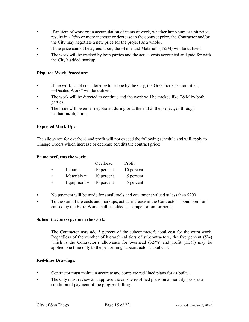- If an item of work or an accumulation of items of work, whether lump sum or unit price, results in a 25% or more increase or decrease in the contract price, the Contractor and/or the City may negotiate a new price for the project as a whole .
- If the price cannot be agreed upon, the —Time and Material" ( $T\&M$ ) will be utilized.
- The work will be tracked by both parties and the actual costs accounted and paid for with the City's added markup.

# **Disputed Work Procedure:**

- If the work is not considered extra scope by the City, the Greenbook section titled, ―Disputed Work‖ will be utilized.
- The work will be directed to continue and the work will be tracked like  $T\&M$  by both parties.
- The issue will be either negotiated during or at the end of the project, or through mediation/litigation.

# **Expected Mark-Ups:**

The allowance for overhead and profit will not exceed the following schedule and will apply to Change Orders which increase or decrease (credit) the contract price:

### **Prime performs the work:**

|   |               | Overhead   | Profit     |
|---|---------------|------------|------------|
| ٠ | $Labor =$     | 10 percent | 10 percent |
| ٠ | $Materials =$ | 10 percent | 5 percent  |
| ٠ | Equipment $=$ | 10 percent | 5 percent  |

- No payment will be made for small tools and equipment valued at less than \$200
- To the sum of the costs and markups, actual increase in the Contractor's bond premium caused by the Extra Work shall be added as compensation for bonds

#### **Subcontractor(s) perform the work:**

 The Contractor may add 5 percent of the subcontractor's total cost for the extra work. Regardless of the number of hierarchical tiers of subcontractors, the five percent (5%) which is the Contractor's allowance for overhead  $(3.5%)$  and profit  $(1.5%)$  may be applied one time only to the performing subcontractor's total cost.

# **Red-lines Drawings:**

- Contractor must maintain accurate and complete red-lined plans for as-builts.
- The City must review and approve the on site red-lined plans on a monthly basis as a condition of payment of the progress billing.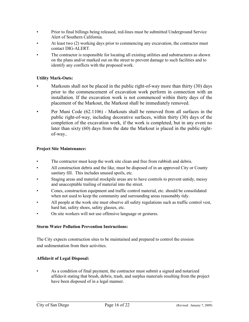- Prior to final billings being released, red-lines must be submitted Underground Service Alert of Southern California.
- At least two (2) working days prior to commencing any excavation, the contractor must contact DIG-ALERT.
- The contractor is responsible for locating all existing utilities and substructures as shown on the plans and/or marked out on the street to prevent damage to such facilities and to identify any conflicts with the proposed work.

# **Utility Mark-Outs:**

- Markouts shall not be placed in the public right-of-way more than thirty (30) days prior to the commencement of excavation work perform in connection with an installation. If the excavation work is not commenced within thirty days of the placement of the Markout, the Markout shall be immediately removed.
- Per Muni Code (62.1106) Markouts shall be removed from all surfaces in the public right-of-way, including decorative surfaces, within thirty (30) days of the completion of the excavation work, if the work is completed, but in any event no later than sixty (60) days from the date the Markout is placed in the public rightof-way..

# **Project Site Maintenance:**

- The contractor must keep the work site clean and free from rubbish and debris.
- All construction debris and the like, must be disposed of in an approved City or County sanitary fill. This includes unused spoils, etc.
- Staging areas and material stockpile areas are to have controls to prevent untidy, messy and unacceptable trailing of material into the street.
- Cones, construction equipment and traffic control material, etc. should be consolidated when not used to keep the community and surrounding areas reasonably tidy.
- All people at the work site must observe all safety regulations such as traffic control vest, hard hat, safety shoes, safety glasses, etc.
- On site workers will not use offensive language or gestures.

# **Storm Water Pollution Prevention Instructions:**

The City expects construction sites to be maintained and prepared to control the erosion and sedimentation from their activities.

# **Affidavit of Legal Disposal:**

As a condition of final payment, the contractor must submit a signed and notarized affidavit stating that brush, debris, trash, and surplus materials resulting from the project have been disposed of in a legal manner.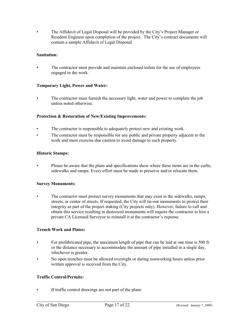• The Affidavit of Legal Disposal will be provided by the City's Project Manager or Resident Engineer upon completion of the project. The City's contract documents will contain a sample Affidavit of Legal Disposal.

### **Sanitation:**

• The contractor must provide and maintain enclosed toilets for the use of employees engaged in the work.

### **Temporary Light, Power and Water:**

The contractor must furnish the necessary light, water and power to complete the job unless noted otherwise.

### **Protection & Restoration of New/Existing Improvements:**

- The contractor is responsible to adequately protect new and existing work.
- The contractor must be responsible for any public and private property adjacent to the work and must exercise due caution to avoid damage to such property.

### **Historic Stamps:**

• Please be aware that the plans and specifications show where these items are in the curbs, sidewalks and ramps. Every effort must be made to preserve and/or relocate them.

#### **Survey Monuments:**

The contractor must protect survey monuments that may exist in the sidewalks, ramps, streets, or center of streets. If requested, the City will tie-out monuments to protect their integrity as part of the project staking (City projects only). However, failure to call and obtain this service resulting in destroyed monuments will require the contractor to hire a private CA Licensed Surveyor to reinstall it at the contractor's expense.

#### **Trench Work and Plates:**

- For prefabricated pipe, the maximum length of pipe that can be laid at one time is 500 ft. or the distance necessary to accommodate the amount of pipe installed in a single day, whichever is greater.
- No open trenches must be allowed overnight or during nonworking hours unless prior written approval is received from the City.

#### **Traffic Control/Permits:**

• If traffic control drawings are not part of the plans: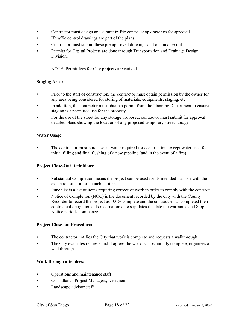- Contractor must design and submit traffic control shop drawings for approval
- If traffic control drawings are part of the plans:
- Contractor must submit these pre-approved drawings and obtain a permit.
- Permits for Capital Projects are done through Transportation and Drainage Design Division.

NOTE: Permit fees for City projects are waived.

#### **Staging Area:**

- Prior to the start of construction, the contractor must obtain permission by the owner for any area being considered for storing of materials, equipments, staging, etc.
- In addition, the contractor must obtain a permit from the Planning Department to ensure staging is a permitted use for the property.
- For the use of the street for any storage proposed, contractor must submit for approval detailed plans showing the location of any proposed temporary street storage.

### **Water Usage:**

The contractor must purchase all water required for construction, except water used for initial filling and final flushing of a new pipeline (and in the event of a fire).

#### **Project Close-Out Definitions:**

- Substantial Completion means the project can be used for its intended purpose with the exception of —mor" punchlist items.
- Punchlist is a list of items requiring corrective work in order to comply with the contract.
- Notice of Completion (NOC) is the document recorded by the City with the County Recorder to record the project as 100% complete and the contractor has completed their contractual obligations. Its recordation date stipulates the date the warrantee and Stop Notice periods commence.

#### **Project Close-out Procedure:**

- The contractor notifies the City that work is complete and requests a walkthrough.
- The City evaluates requests and if agrees the work is substantially complete, organizes a walkthrough.

#### **Walk-through attendees:**

- Operations and maintenance staff
- Consultants, Project Managers, Designers
- Landscape advisor staff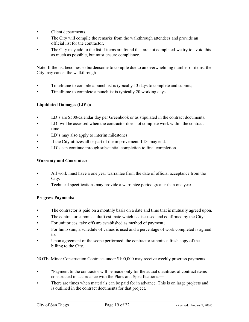- Client departments.
- The City will compile the remarks from the walkthrough attendees and provide an official list for the contractor.
- The City may add to the list if items are found that are not completed-we try to avoid this as much as possible, but must ensure compliance.

Note: If the list becomes so burdensome to compile due to an overwhelming number of items, the City may cancel the walkthrough.

- Timeframe to compile a punchlist is typically 13 days to complete and submit;
- Timeframe to complete a punchlist is typically 20 working days.

### **Liquidated Damages (LD's):**

- LD's are \$500/calendar day per Greenbook or as stipulated in the contract documents.
- LD' will be assessed when the contractor does not complete work within the contract time.
- LD's may also apply to interim milestones.
- If the City utilizes all or part of the improvement, LDs may end.
- LD's can continue through substantial completion to final completion.

#### **Warranty and Guarantee:**

- All work must have a one year warrantee from the date of official acceptance from the City.
- Technical specifications may provide a warrantee period greater than one year.

#### **Progress Payments:**

- The contractor is paid on a monthly basis on a date and time that is mutually agreed upon.
- The contractor submits a draft estimate which is discussed and confirmed by the City:
- For unit prices, take offs are established as method of payment;
- For lump sum, a schedule of values is used and a percentage of work completed is agreed to.
- Upon agreement of the scope performed, the contractor submits a fresh copy of the billing to the City.

NOTE: Minor Construction Contracts under \$100,000 may receive weekly progress payments.

- "Payment to the contractor will be made only for the actual quantities of contract items constructed in accordance with the Plans and Specifications.―
- There are times when materials can be paid for in advance. This is on large projects and is outlined in the contract documents for that project.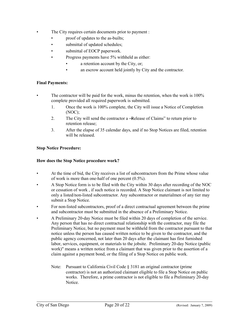- The City requires certain documents prior to payment :
	- proof of updates to the as-builts;
	- submittal of updated schedules;
	- submittal of EOCP paperwork.
	- Progress payments have 5% withheld as either:
		- a retention account by the City, or;
		- an escrow account held jointly by City and the contractor.

# **Final Payments:**

- The contractor will be paid for the work, minus the retention, when the work is 100% complete provided all required paperwork is submitted.
	- 1. Once the work is 100% complete, the City will issue a Notice of Completion (NOC);
	- 2. The City will send the contractor a -Release of Claims" to return prior to retention release;
	- 3. After the elapse of 35 calendar days, and if no Stop Notices are filed, retention will be released.

# **Stop Notice Procedure:**

# **How does the Stop Notice procedure work?**

- At the time of bid, the City receives a list of subcontractors from the Prime whose value of work is more than one-half of one percent (0.5%).
- A Stop Notice form is to be filed with the City within 30 days after recording of the NOC or cessation of work , if such notice is recorded. A Stop Notice claimant is not limited to only a listed/non-listed subcontractor. Any subcontractor or materialmen of any tier may submit a Stop Notice.
- For non-listed subcontractors, proof of a direct contractual agreement between the prime and subcontractor must be submitted in the absence of a Preliminary Notice.
- A Preliminary 20-day Notice must be filed within 20 days of completion of the service. Any person that has no direct contractual relationship with the contractor, may file the Preliminary Notice, but no payment must be withheld from the contractor pursuant to that notice unless the person has caused written notice to be given to the contractor, and the public agency concerned, not later than 20 days after the claimant has first furnished labor, services, equipment, or materials to the jobsite. Preliminary 20-day Notice (public work)" means a written notice from a claimant that was given prior to the assertion of a claim against a payment bond, or the filing of a Stop Notice on public work.
	- Note: Pursuant to California Civil Code § 3181 an original contractor (prime contractor) is not an authorized claimant eligible to file a Stop Notice on public works. Therefore, a prime contractor is not eligible to file a Preliminary 20-day Notice.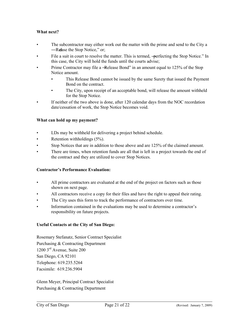# **What next?**

- The subcontractor may either work out the matter with the prime and send to the City a —Relase the Stop Notice," or;
- File a suit in court to resolve the matter. This is termed, —perfecting the Stop Notice." In this case, the City will hold the funds until the courts advise;
- Prime Contractor may file a -Release Bond" in an amount equal to 125% of the Stop Notice amount.
	- This Release Bond cannot be issued by the same Surety that issued the Payment Bond on the contract.
	- The City, upon receipt of an acceptable bond, will release the amount withheld for the Stop Notice.
- If neither of the two above is done, after 120 calendar days from the NOC recordation date/cessation of work, the Stop Notice becomes void.

### **What can hold up my payment?**

- LDs may be withheld for delivering a project behind schedule.
- Retention withholdings (5%).
- Stop Notices that are in addition to those above and are 125% of the claimed amount.
- There are times, when retention funds are all that is left in a project towards the end of the contract and they are utilized to cover Stop Notices.

#### **Contractor's Performance Evaluation:**

- All prime contractors are evaluated at the end of the project on factors such as those shown on next page.
- All contractors receive a copy for their files and have the right to appeal their rating.
- The City uses this form to track the performance of contractors over time.
- Information contained in the evaluations may be used to determine a contractor's responsibility on future projects.

#### **Useful Contacts at the City of San Diego:**

Rosemary Stefanatz, Senior Contract Specialist Purchasing & Contracting Department 1200 3rd Avenue, Suite 200 San Diego, CA 92101 Telephone: 619.235.5264 Facsimile: 619.236.5904

Glenn Meyer, Principal Contract Specialist Purchasing & Contracting Department